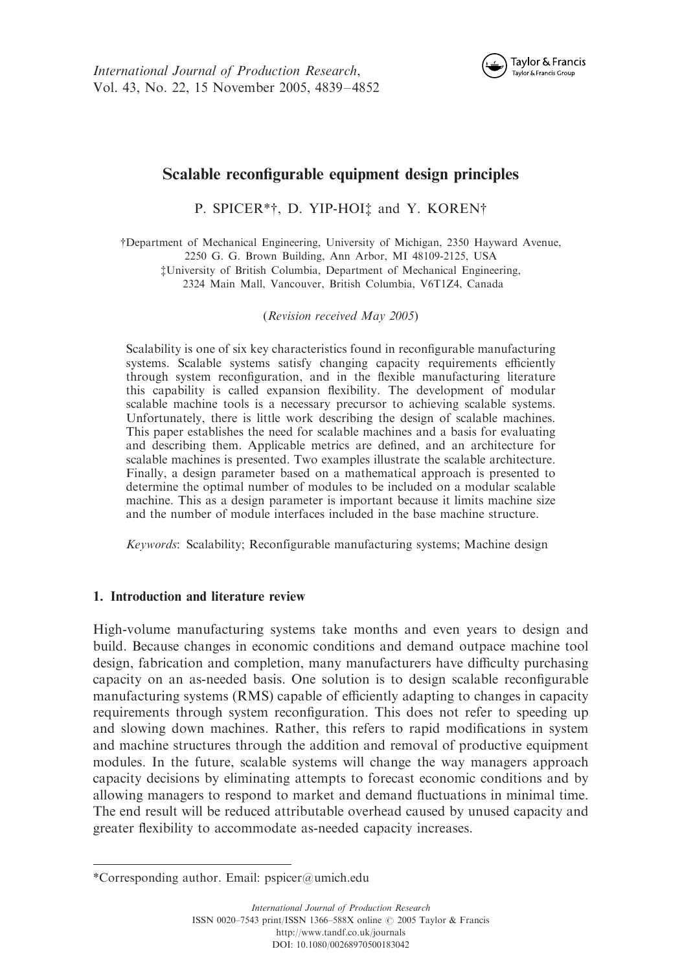

# Scalable reconfigurable equipment design principles

P. SPICER\*†, D. YIP-HOI<sup>†</sup> and Y. KOREN†

yDepartment of Mechanical Engineering, University of Michigan, 2350 Hayward Avenue, 2250 G. G. Brown Building, Ann Arbor, MI 48109-2125, USA zUniversity of British Columbia, Department of Mechanical Engineering, 2324 Main Mall, Vancouver, British Columbia, V6T1Z4, Canada

(Revision received May 2005)

Scalability is one of six key characteristics found in reconfigurable manufacturing systems. Scalable systems satisfy changing capacity requirements efficiently through system reconfiguration, and in the flexible manufacturing literature this capability is called expansion flexibility. The development of modular scalable machine tools is a necessary precursor to achieving scalable systems. Unfortunately, there is little work describing the design of scalable machines. This paper establishes the need for scalable machines and a basis for evaluating and describing them. Applicable metrics are defined, and an architecture for scalable machines is presented. Two examples illustrate the scalable architecture. Finally, a design parameter based on a mathematical approach is presented to determine the optimal number of modules to be included on a modular scalable machine. This as a design parameter is important because it limits machine size and the number of module interfaces included in the base machine structure.

Keywords: Scalability; Reconfigurable manufacturing systems; Machine design

## 1. Introduction and literature review

High-volume manufacturing systems take months and even years to design and build. Because changes in economic conditions and demand outpace machine tool design, fabrication and completion, many manufacturers have difficulty purchasing capacity on an as-needed basis. One solution is to design scalable reconfigurable manufacturing systems (RMS) capable of efficiently adapting to changes in capacity requirements through system reconfiguration. This does not refer to speeding up and slowing down machines. Rather, this refers to rapid modifications in system and machine structures through the addition and removal of productive equipment modules. In the future, scalable systems will change the way managers approach capacity decisions by eliminating attempts to forecast economic conditions and by allowing managers to respond to market and demand fluctuations in minimal time. The end result will be reduced attributable overhead caused by unused capacity and greater flexibility to accommodate as-needed capacity increases.

<sup>\*</sup>Corresponding author. Email: pspicer@umich.edu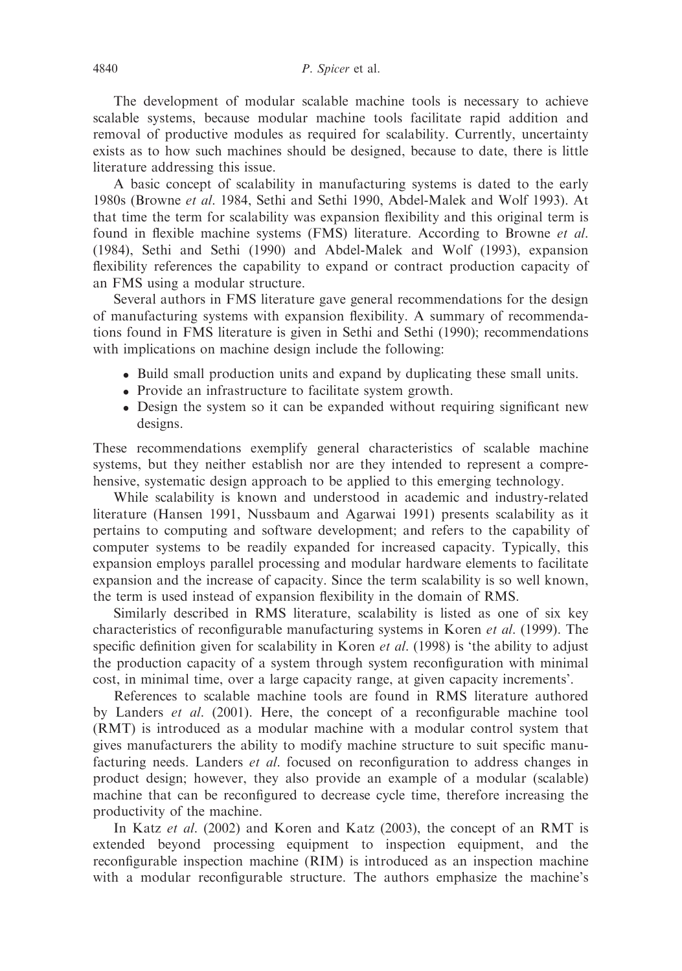The development of modular scalable machine tools is necessary to achieve scalable systems, because modular machine tools facilitate rapid addition and removal of productive modules as required for scalability. Currently, uncertainty exists as to how such machines should be designed, because to date, there is little literature addressing this issue.

A basic concept of scalability in manufacturing systems is dated to the early 1980s (Browne et al. 1984, Sethi and Sethi 1990, Abdel-Malek and Wolf 1993). At that time the term for scalability was expansion flexibility and this original term is found in flexible machine systems (FMS) literature. According to Browne et al. (1984), Sethi and Sethi (1990) and Abdel-Malek and Wolf (1993), expansion flexibility references the capability to expand or contract production capacity of an FMS using a modular structure.

Several authors in FMS literature gave general recommendations for the design of manufacturing systems with expansion flexibility. A summary of recommendations found in FMS literature is given in Sethi and Sethi (1990); recommendations with implications on machine design include the following:

- . Build small production units and expand by duplicating these small units.
- . Provide an infrastructure to facilitate system growth.
- . Design the system so it can be expanded without requiring significant new designs.

These recommendations exemplify general characteristics of scalable machine systems, but they neither establish nor are they intended to represent a comprehensive, systematic design approach to be applied to this emerging technology.

While scalability is known and understood in academic and industry-related literature (Hansen 1991, Nussbaum and Agarwai 1991) presents scalability as it pertains to computing and software development; and refers to the capability of computer systems to be readily expanded for increased capacity. Typically, this expansion employs parallel processing and modular hardware elements to facilitate expansion and the increase of capacity. Since the term scalability is so well known, the term is used instead of expansion flexibility in the domain of RMS.

Similarly described in RMS literature, scalability is listed as one of six key characteristics of reconfigurable manufacturing systems in Koren et al. (1999). The specific definition given for scalability in Koren *et al.* (1998) is 'the ability to adjust the production capacity of a system through system reconfiguration with minimal cost, in minimal time, over a large capacity range, at given capacity increments'.

References to scalable machine tools are found in RMS literature authored by Landers et al. (2001). Here, the concept of a reconfigurable machine tool (RMT) is introduced as a modular machine with a modular control system that gives manufacturers the ability to modify machine structure to suit specific manufacturing needs. Landers et al. focused on reconfiguration to address changes in product design; however, they also provide an example of a modular (scalable) machine that can be reconfigured to decrease cycle time, therefore increasing the productivity of the machine.

In Katz et al. (2002) and Koren and Katz (2003), the concept of an RMT is extended beyond processing equipment to inspection equipment, and the reconfigurable inspection machine (RIM) is introduced as an inspection machine with a modular reconfigurable structure. The authors emphasize the machine's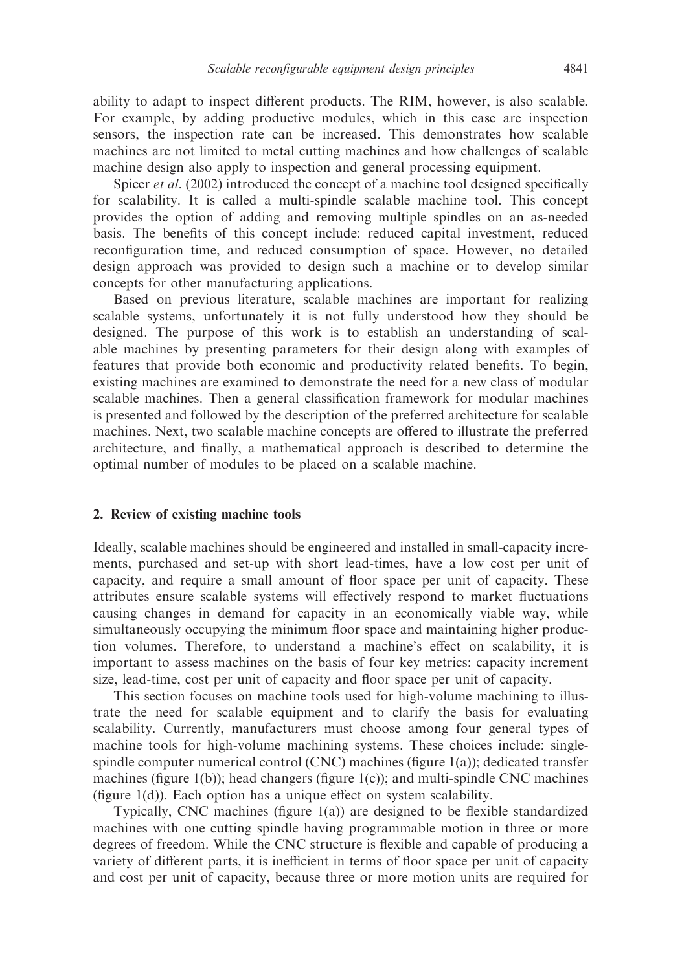ability to adapt to inspect different products. The RIM, however, is also scalable. For example, by adding productive modules, which in this case are inspection sensors, the inspection rate can be increased. This demonstrates how scalable machines are not limited to metal cutting machines and how challenges of scalable machine design also apply to inspection and general processing equipment.

Spicer et al. (2002) introduced the concept of a machine tool designed specifically for scalability. It is called a multi-spindle scalable machine tool. This concept provides the option of adding and removing multiple spindles on an as-needed basis. The benefits of this concept include: reduced capital investment, reduced reconfiguration time, and reduced consumption of space. However, no detailed design approach was provided to design such a machine or to develop similar concepts for other manufacturing applications.

Based on previous literature, scalable machines are important for realizing scalable systems, unfortunately it is not fully understood how they should be designed. The purpose of this work is to establish an understanding of scalable machines by presenting parameters for their design along with examples of features that provide both economic and productivity related benefits. To begin, existing machines are examined to demonstrate the need for a new class of modular scalable machines. Then a general classification framework for modular machines is presented and followed by the description of the preferred architecture for scalable machines. Next, two scalable machine concepts are offered to illustrate the preferred architecture, and finally, a mathematical approach is described to determine the optimal number of modules to be placed on a scalable machine.

## 2. Review of existing machine tools

Ideally, scalable machines should be engineered and installed in small-capacity increments, purchased and set-up with short lead-times, have a low cost per unit of capacity, and require a small amount of floor space per unit of capacity. These attributes ensure scalable systems will effectively respond to market fluctuations causing changes in demand for capacity in an economically viable way, while simultaneously occupying the minimum floor space and maintaining higher production volumes. Therefore, to understand a machine's effect on scalability, it is important to assess machines on the basis of four key metrics: capacity increment size, lead-time, cost per unit of capacity and floor space per unit of capacity.

This section focuses on machine tools used for high-volume machining to illustrate the need for scalable equipment and to clarify the basis for evaluating scalability. Currently, manufacturers must choose among four general types of machine tools for high-volume machining systems. These choices include: singlespindle computer numerical control (CNC) machines (figure 1(a)); dedicated transfer machines (figure 1(b)); head changers (figure 1(c)); and multi-spindle CNC machines (figure 1(d)). Each option has a unique effect on system scalability.

Typically, CNC machines (figure 1(a)) are designed to be flexible standardized machines with one cutting spindle having programmable motion in three or more degrees of freedom. While the CNC structure is flexible and capable of producing a variety of different parts, it is inefficient in terms of floor space per unit of capacity and cost per unit of capacity, because three or more motion units are required for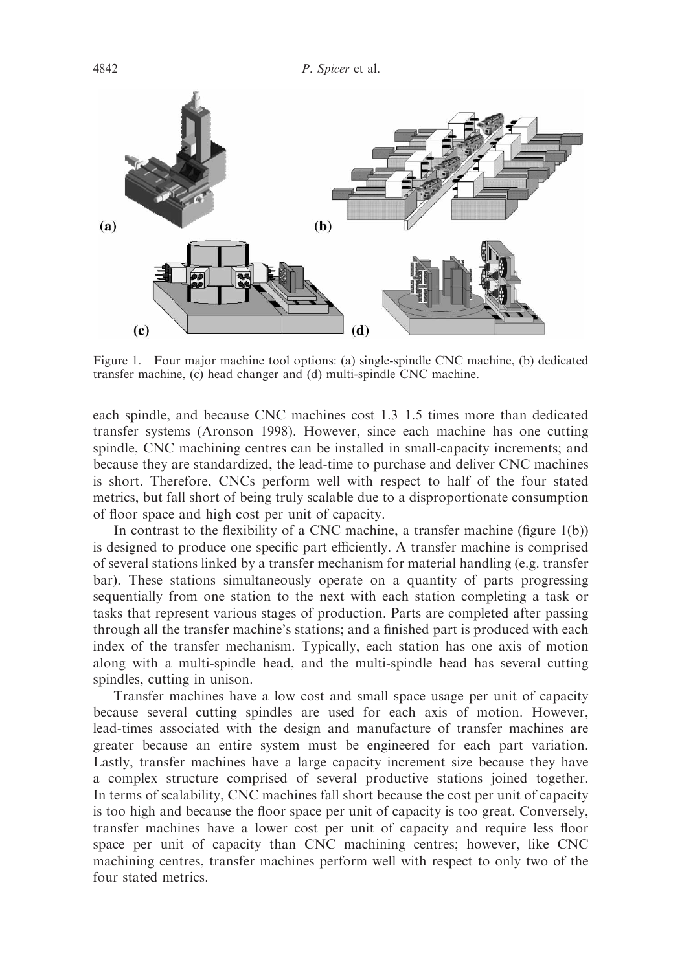

Figure 1. Four major machine tool options: (a) single-spindle CNC machine, (b) dedicated transfer machine, (c) head changer and (d) multi-spindle CNC machine.

each spindle, and because CNC machines cost 1.3–1.5 times more than dedicated transfer systems (Aronson 1998). However, since each machine has one cutting spindle, CNC machining centres can be installed in small-capacity increments; and because they are standardized, the lead-time to purchase and deliver CNC machines is short. Therefore, CNCs perform well with respect to half of the four stated metrics, but fall short of being truly scalable due to a disproportionate consumption of floor space and high cost per unit of capacity.

In contrast to the flexibility of a CNC machine, a transfer machine (figure 1(b)) is designed to produce one specific part efficiently. A transfer machine is comprised of several stations linked by a transfer mechanism for material handling (e.g. transfer bar). These stations simultaneously operate on a quantity of parts progressing sequentially from one station to the next with each station completing a task or tasks that represent various stages of production. Parts are completed after passing through all the transfer machine's stations; and a finished part is produced with each index of the transfer mechanism. Typically, each station has one axis of motion along with a multi-spindle head, and the multi-spindle head has several cutting spindles, cutting in unison.

Transfer machines have a low cost and small space usage per unit of capacity because several cutting spindles are used for each axis of motion. However, lead-times associated with the design and manufacture of transfer machines are greater because an entire system must be engineered for each part variation. Lastly, transfer machines have a large capacity increment size because they have a complex structure comprised of several productive stations joined together. In terms of scalability, CNC machines fall short because the cost per unit of capacity is too high and because the floor space per unit of capacity is too great. Conversely, transfer machines have a lower cost per unit of capacity and require less floor space per unit of capacity than CNC machining centres; however, like CNC machining centres, transfer machines perform well with respect to only two of the four stated metrics.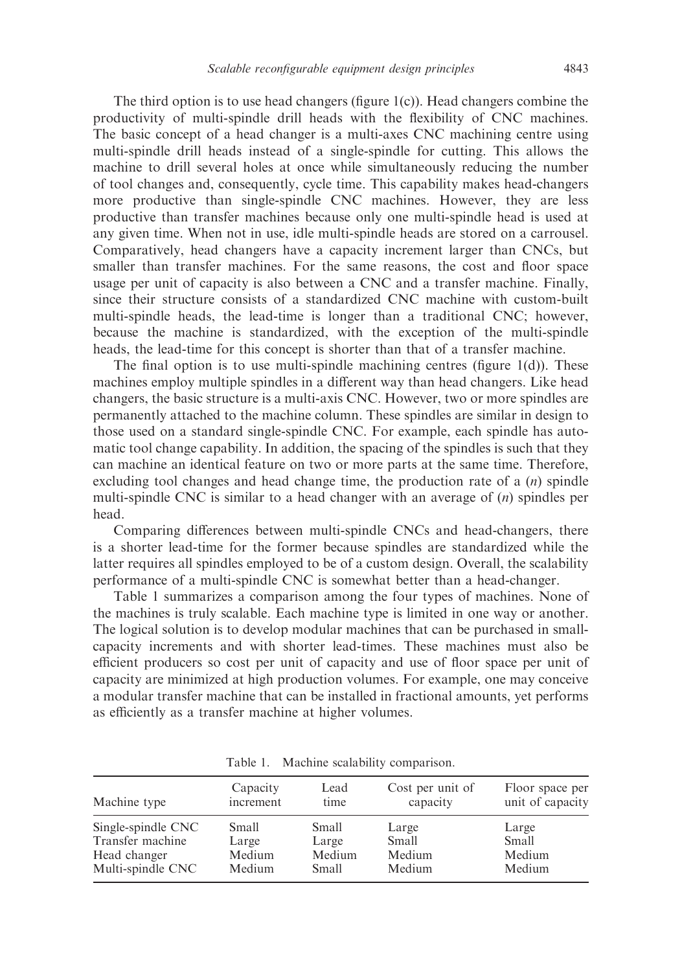The third option is to use head changers (figure 1(c)). Head changers combine the productivity of multi-spindle drill heads with the flexibility of CNC machines. The basic concept of a head changer is a multi-axes CNC machining centre using multi-spindle drill heads instead of a single-spindle for cutting. This allows the machine to drill several holes at once while simultaneously reducing the number of tool changes and, consequently, cycle time. This capability makes head-changers more productive than single-spindle CNC machines. However, they are less productive than transfer machines because only one multi-spindle head is used at any given time. When not in use, idle multi-spindle heads are stored on a carrousel. Comparatively, head changers have a capacity increment larger than CNCs, but smaller than transfer machines. For the same reasons, the cost and floor space usage per unit of capacity is also between a CNC and a transfer machine. Finally, since their structure consists of a standardized CNC machine with custom-built multi-spindle heads, the lead-time is longer than a traditional CNC; however, because the machine is standardized, with the exception of the multi-spindle heads, the lead-time for this concept is shorter than that of a transfer machine.

The final option is to use multi-spindle machining centres (figure  $1(d)$ ). These machines employ multiple spindles in a different way than head changers. Like head changers, the basic structure is a multi-axis CNC. However, two or more spindles are permanently attached to the machine column. These spindles are similar in design to those used on a standard single-spindle CNC. For example, each spindle has automatic tool change capability. In addition, the spacing of the spindles is such that they can machine an identical feature on two or more parts at the same time. Therefore, excluding tool changes and head change time, the production rate of a  $(n)$  spindle multi-spindle CNC is similar to a head changer with an average of  $(n)$  spindles per head.

Comparing differences between multi-spindle CNCs and head-changers, there is a shorter lead-time for the former because spindles are standardized while the latter requires all spindles employed to be of a custom design. Overall, the scalability performance of a multi-spindle CNC is somewhat better than a head-changer.

Table 1 summarizes a comparison among the four types of machines. None of the machines is truly scalable. Each machine type is limited in one way or another. The logical solution is to develop modular machines that can be purchased in smallcapacity increments and with shorter lead-times. These machines must also be efficient producers so cost per unit of capacity and use of floor space per unit of capacity are minimized at high production volumes. For example, one may conceive a modular transfer machine that can be installed in fractional amounts, yet performs as efficiently as a transfer machine at higher volumes.

| Machine type       | Capacity  | Lead   | Cost per unit of | Floor space per  |
|--------------------|-----------|--------|------------------|------------------|
|                    | increment | time   | capacity         | unit of capacity |
| Single-spindle CNC | Small     | Small  | Large            | Large            |
| Transfer machine   | Large     | Large  | Small            | Small            |
| Head changer       | Medium    | Medium | Medium           | Medium           |
| Multi-spindle CNC  | Medium    | Small  | Medium           | Medium           |

Table 1. Machine scalability comparison.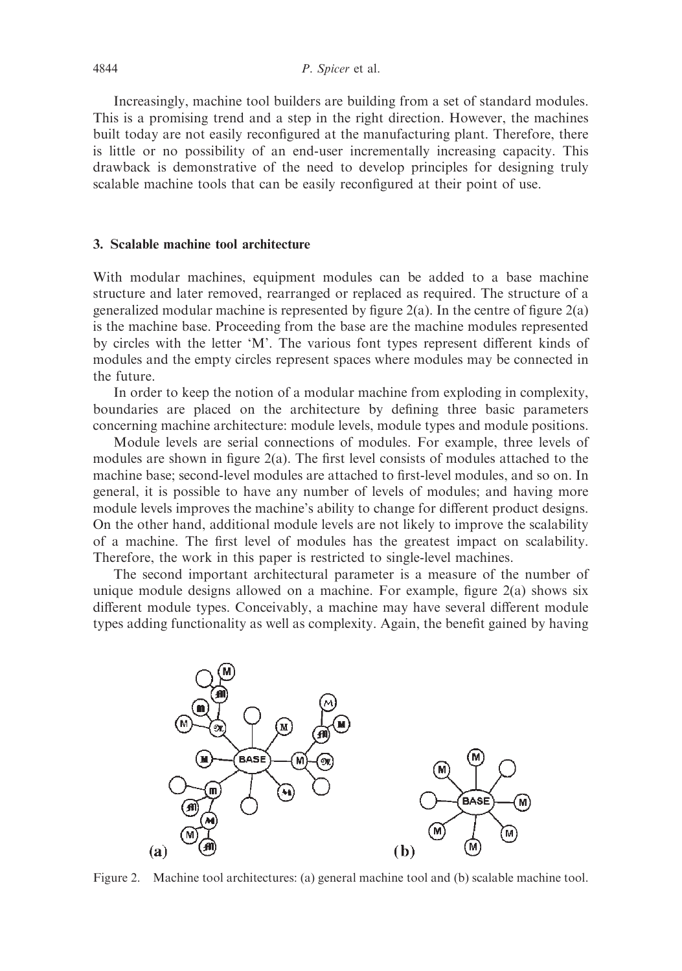Increasingly, machine tool builders are building from a set of standard modules. This is a promising trend and a step in the right direction. However, the machines built today are not easily reconfigured at the manufacturing plant. Therefore, there is little or no possibility of an end-user incrementally increasing capacity. This drawback is demonstrative of the need to develop principles for designing truly scalable machine tools that can be easily reconfigured at their point of use.

## 3. Scalable machine tool architecture

With modular machines, equipment modules can be added to a base machine structure and later removed, rearranged or replaced as required. The structure of a generalized modular machine is represented by figure  $2(a)$ . In the centre of figure  $2(a)$ is the machine base. Proceeding from the base are the machine modules represented by circles with the letter 'M'. The various font types represent different kinds of modules and the empty circles represent spaces where modules may be connected in the future.

In order to keep the notion of a modular machine from exploding in complexity, boundaries are placed on the architecture by defining three basic parameters concerning machine architecture: module levels, module types and module positions.

Module levels are serial connections of modules. For example, three levels of modules are shown in figure  $2(a)$ . The first level consists of modules attached to the machine base; second-level modules are attached to first-level modules, and so on. In general, it is possible to have any number of levels of modules; and having more module levels improves the machine's ability to change for different product designs. On the other hand, additional module levels are not likely to improve the scalability of a machine. The first level of modules has the greatest impact on scalability. Therefore, the work in this paper is restricted to single-level machines.

The second important architectural parameter is a measure of the number of unique module designs allowed on a machine. For example, figure 2(a) shows six different module types. Conceivably, a machine may have several different module types adding functionality as well as complexity. Again, the benefit gained by having



Figure 2. Machine tool architectures: (a) general machine tool and (b) scalable machine tool.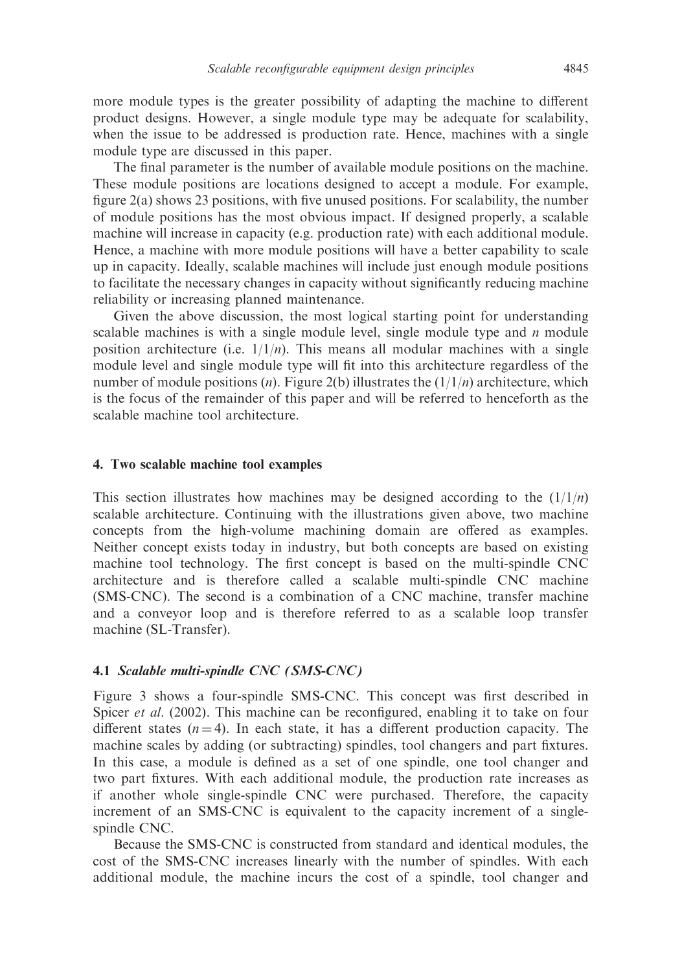more module types is the greater possibility of adapting the machine to different product designs. However, a single module type may be adequate for scalability, when the issue to be addressed is production rate. Hence, machines with a single module type are discussed in this paper.

The final parameter is the number of available module positions on the machine. These module positions are locations designed to accept a module. For example, figure 2(a) shows 23 positions, with five unused positions. For scalability, the number of module positions has the most obvious impact. If designed properly, a scalable machine will increase in capacity (e.g. production rate) with each additional module. Hence, a machine with more module positions will have a better capability to scale up in capacity. Ideally, scalable machines will include just enough module positions to facilitate the necessary changes in capacity without significantly reducing machine reliability or increasing planned maintenance.

Given the above discussion, the most logical starting point for understanding scalable machines is with a single module level, single module type and  $n$  module position architecture (i.e.  $1/1/n$ ). This means all modular machines with a single module level and single module type will fit into this architecture regardless of the number of module positions (*n*). Figure 2(b) illustrates the  $(1/1/n)$  architecture, which is the focus of the remainder of this paper and will be referred to henceforth as the scalable machine tool architecture.

## 4. Two scalable machine tool examples

This section illustrates how machines may be designed according to the  $(1/1/n)$ scalable architecture. Continuing with the illustrations given above, two machine concepts from the high-volume machining domain are offered as examples. Neither concept exists today in industry, but both concepts are based on existing machine tool technology. The first concept is based on the multi-spindle CNC architecture and is therefore called a scalable multi-spindle CNC machine (SMS-CNC). The second is a combination of a CNC machine, transfer machine and a conveyor loop and is therefore referred to as a scalable loop transfer machine (SL-Transfer).

## 4.1 Scalable multi-spindle CNC (SMS-CNC)

Figure 3 shows a four-spindle SMS-CNC. This concept was first described in Spicer *et al.* (2002). This machine can be reconfigured, enabling it to take on four different states  $(n = 4)$ . In each state, it has a different production capacity. The machine scales by adding (or subtracting) spindles, tool changers and part fixtures. In this case, a module is defined as a set of one spindle, one tool changer and two part fixtures. With each additional module, the production rate increases as if another whole single-spindle CNC were purchased. Therefore, the capacity increment of an SMS-CNC is equivalent to the capacity increment of a singlespindle CNC.

Because the SMS-CNC is constructed from standard and identical modules, the cost of the SMS-CNC increases linearly with the number of spindles. With each additional module, the machine incurs the cost of a spindle, tool changer and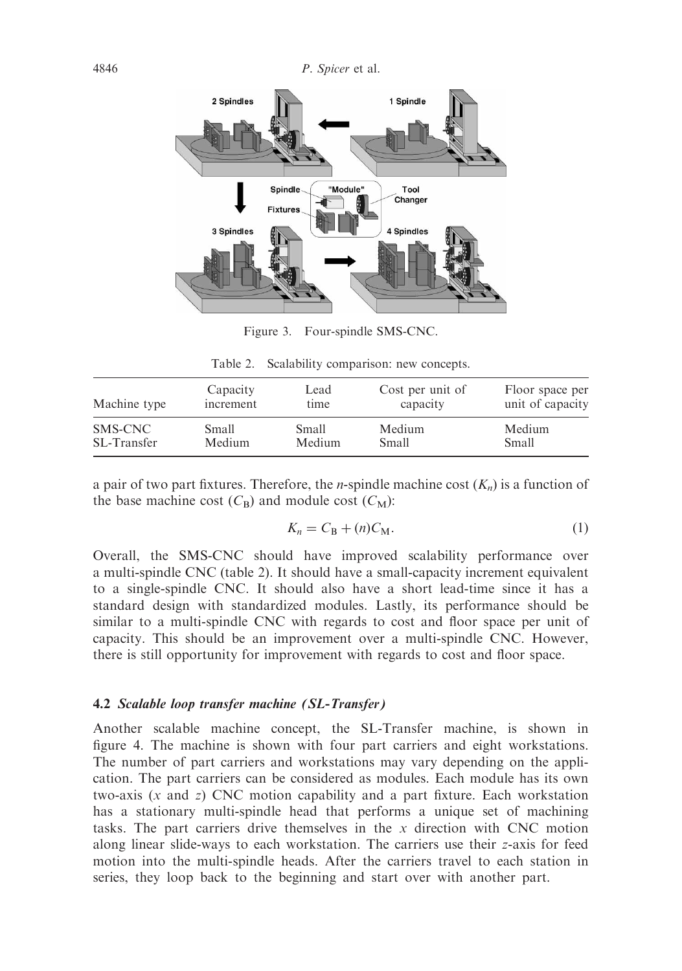

Figure 3. Four-spindle SMS-CNC.

Table 2. Scalability comparison: new concepts.

| Machine type | Capacity     | Lead   | Cost per unit of | Floor space per  |
|--------------|--------------|--------|------------------|------------------|
|              | increment    | time   | capacity         | unit of capacity |
| SMS-CNC      | <b>Small</b> | Small  | Medium           | Medium           |
| SL-Transfer  | Medium       | Medium | Small            | Small            |

a pair of two part fixtures. Therefore, the *n*-spindle machine cost  $(K_n)$  is a function of the base machine cost  $(C_B)$  and module cost  $(C_M)$ :

$$
K_n = C_\mathbf{B} + (n)C_\mathbf{M}.\tag{1}
$$

Overall, the SMS-CNC should have improved scalability performance over a multi-spindle CNC (table 2). It should have a small-capacity increment equivalent to a single-spindle CNC. It should also have a short lead-time since it has a standard design with standardized modules. Lastly, its performance should be similar to a multi-spindle CNC with regards to cost and floor space per unit of capacity. This should be an improvement over a multi-spindle CNC. However, there is still opportunity for improvement with regards to cost and floor space.

#### 4.2 Scalable loop transfer machine (SL-Transfer)

Another scalable machine concept, the SL-Transfer machine, is shown in figure 4. The machine is shown with four part carriers and eight workstations. The number of part carriers and workstations may vary depending on the application. The part carriers can be considered as modules. Each module has its own two-axis (x and z) CNC motion capability and a part fixture. Each workstation has a stationary multi-spindle head that performs a unique set of machining tasks. The part carriers drive themselves in the  $x$  direction with CNC motion along linear slide-ways to each workstation. The carriers use their  $z$ -axis for feed motion into the multi-spindle heads. After the carriers travel to each station in series, they loop back to the beginning and start over with another part.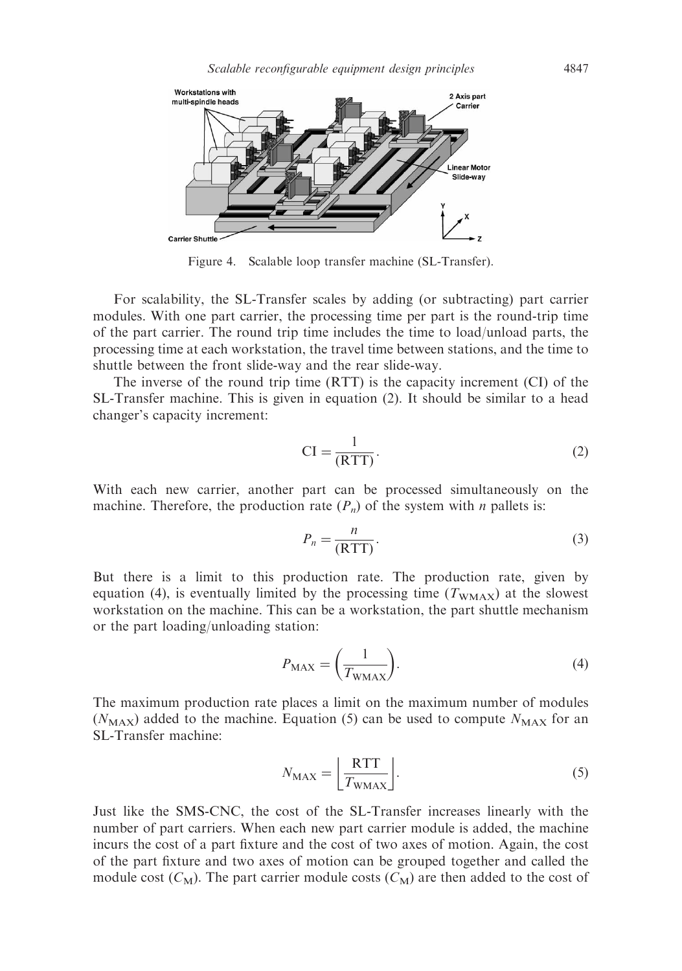

Figure 4. Scalable loop transfer machine (SL-Transfer).

For scalability, the SL-Transfer scales by adding (or subtracting) part carrier modules. With one part carrier, the processing time per part is the round-trip time of the part carrier. The round trip time includes the time to load/unload parts, the processing time at each workstation, the travel time between stations, and the time to shuttle between the front slide-way and the rear slide-way.

The inverse of the round trip time (RTT) is the capacity increment (CI) of the SL-Transfer machine. This is given in equation (2). It should be similar to a head changer's capacity increment:

$$
CI = \frac{1}{(RTT)}.
$$
 (2)

With each new carrier, another part can be processed simultaneously on the machine. Therefore, the production rate  $(P_n)$  of the system with *n* pallets is:

$$
P_n = \frac{n}{\text{(RTT)}}.\tag{3}
$$

But there is a limit to this production rate. The production rate, given by equation (4), is eventually limited by the processing time  $(T<sub>WMAX</sub>)$  at the slowest workstation on the machine. This can be a workstation, the part shuttle mechanism or the part loading/unloading station:

$$
P_{\text{MAX}} = \left(\frac{1}{T_{\text{WMAX}}}\right). \tag{4}
$$

The maximum production rate places a limit on the maximum number of modules  $(N_{MAX})$  added to the machine. Equation (5) can be used to compute  $N_{MAX}$  for an SL-Transfer machine:

$$
N_{\text{MAX}} = \left\lfloor \frac{\text{RTT}}{T_{\text{WMAX}}} \right\rfloor. \tag{5}
$$

Just like the SMS-CNC, the cost of the SL-Transfer increases linearly with the number of part carriers. When each new part carrier module is added, the machine incurs the cost of a part fixture and the cost of two axes of motion. Again, the cost of the part fixture and two axes of motion can be grouped together and called the module cost  $(C_M)$ . The part carrier module costs  $(C_M)$  are then added to the cost of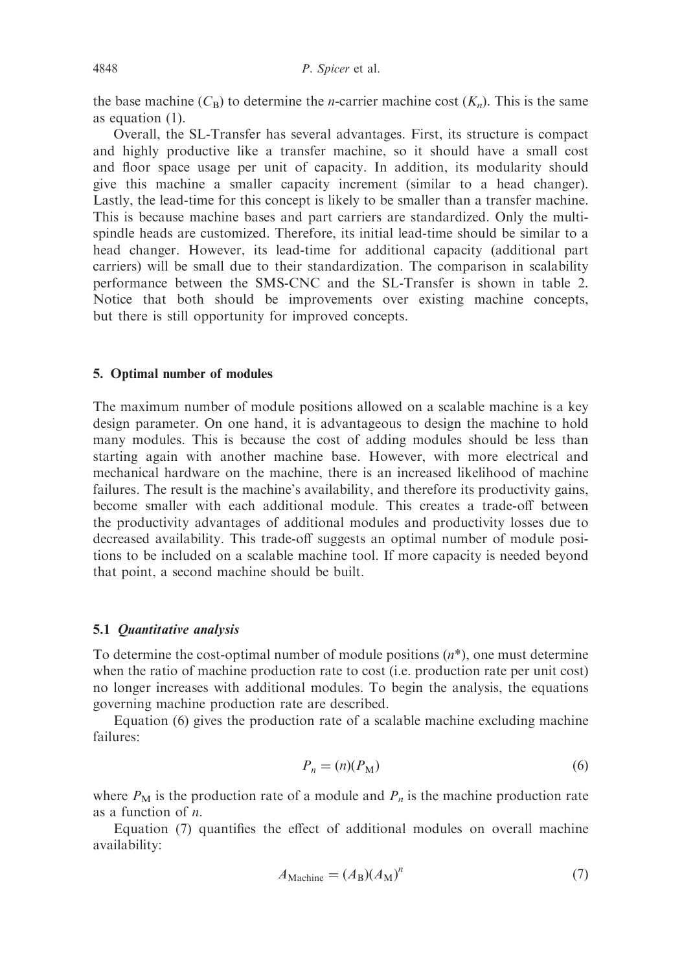the base machine  $(C_B)$  to determine the *n*-carrier machine cost  $(K_n)$ . This is the same as equation (1).

Overall, the SL-Transfer has several advantages. First, its structure is compact and highly productive like a transfer machine, so it should have a small cost and floor space usage per unit of capacity. In addition, its modularity should give this machine a smaller capacity increment (similar to a head changer). Lastly, the lead-time for this concept is likely to be smaller than a transfer machine. This is because machine bases and part carriers are standardized. Only the multispindle heads are customized. Therefore, its initial lead-time should be similar to a head changer. However, its lead-time for additional capacity (additional part carriers) will be small due to their standardization. The comparison in scalability performance between the SMS-CNC and the SL-Transfer is shown in table 2. Notice that both should be improvements over existing machine concepts, but there is still opportunity for improved concepts.

#### 5. Optimal number of modules

The maximum number of module positions allowed on a scalable machine is a key design parameter. On one hand, it is advantageous to design the machine to hold many modules. This is because the cost of adding modules should be less than starting again with another machine base. However, with more electrical and mechanical hardware on the machine, there is an increased likelihood of machine failures. The result is the machine's availability, and therefore its productivity gains, become smaller with each additional module. This creates a trade-off between the productivity advantages of additional modules and productivity losses due to decreased availability. This trade-off suggests an optimal number of module positions to be included on a scalable machine tool. If more capacity is needed beyond that point, a second machine should be built.

## 5.1 Quantitative analysis

To determine the cost-optimal number of module positions  $(n^*)$ , one must determine when the ratio of machine production rate to cost (i.e. production rate per unit cost) no longer increases with additional modules. To begin the analysis, the equations governing machine production rate are described.

Equation (6) gives the production rate of a scalable machine excluding machine failures:

$$
P_n = (n)(P_M) \tag{6}
$$

where  $P_M$  is the production rate of a module and  $P_n$  is the machine production rate as a function of n.

Equation (7) quantifies the effect of additional modules on overall machine availability:

$$
A_{\text{Machine}} = (A_{\text{B}})(A_{\text{M}})^n \tag{7}
$$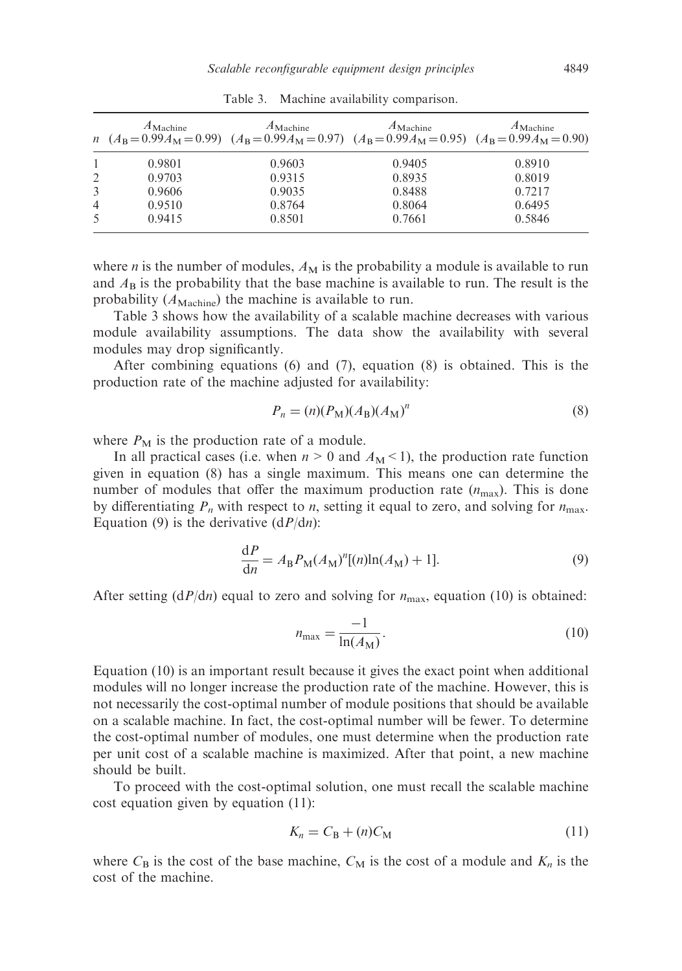|                | $A_{\text{Machine}}$ | $A_{\text{Machine}}$ | $A_{\text{Machine}}$<br>$n(A_B=0.99A_M=0.99)$ $(A_B=0.99A_M=0.97)$ $(A_B=0.99A_M=0.95)$ $(A_B=0.99A_M=0.90)$ | $A_{\text{Machine}}$ |
|----------------|----------------------|----------------------|--------------------------------------------------------------------------------------------------------------|----------------------|
|                | 0.9801               | 0.9603               | 0.9405                                                                                                       | 0.8910               |
| 2<br>3         | 0.9703<br>0.9606     | 0.9315<br>0.9035     | 0.8935<br>0.8488                                                                                             | 0.8019<br>0.7217     |
| $\overline{4}$ | 0.9510               | 0.8764               | 0.8064                                                                                                       | 0.6495               |
| -5             | 0.9415               | 0.8501               | 0.7661                                                                                                       | 0.5846               |

Table 3. Machine availability comparison.

where *n* is the number of modules,  $A_M$  is the probability a module is available to run and  $A_B$  is the probability that the base machine is available to run. The result is the probability  $(A_{\text{Machine}})$  the machine is available to run.

Table 3 shows how the availability of a scalable machine decreases with various module availability assumptions. The data show the availability with several modules may drop significantly.

After combining equations (6) and (7), equation (8) is obtained. This is the production rate of the machine adjusted for availability:

$$
P_n = (n)(P_M)(A_B)(A_M)^n \tag{8}
$$

where  $P_M$  is the production rate of a module.

In all practical cases (i.e. when  $n > 0$  and  $A_M < 1$ ), the production rate function given in equation (8) has a single maximum. This means one can determine the number of modules that offer the maximum production rate  $(n_{\text{max}})$ . This is done by differentiating  $P_n$  with respect to *n*, setting it equal to zero, and solving for  $n_{\text{max}}$ . Equation (9) is the derivative  $(dP/dn)$ :

$$
\frac{\mathrm{d}P}{\mathrm{d}n} = A_{\mathrm{B}} P_{\mathrm{M}} (A_{\mathrm{M}})^n [(n) \ln(A_{\mathrm{M}}) + 1]. \tag{9}
$$

After setting  $(dP/dn)$  equal to zero and solving for  $n_{\text{max}}$ , equation (10) is obtained:

$$
n_{\text{max}} = \frac{-1}{\ln(A_M)}.\tag{10}
$$

Equation (10) is an important result because it gives the exact point when additional modules will no longer increase the production rate of the machine. However, this is not necessarily the cost-optimal number of module positions that should be available on a scalable machine. In fact, the cost-optimal number will be fewer. To determine the cost-optimal number of modules, one must determine when the production rate per unit cost of a scalable machine is maximized. After that point, a new machine should be built.

To proceed with the cost-optimal solution, one must recall the scalable machine cost equation given by equation (11):

$$
K_n = C_\mathbf{B} + (n)C_\mathbf{M} \tag{11}
$$

where  $C_B$  is the cost of the base machine,  $C_M$  is the cost of a module and  $K_n$  is the cost of the machine.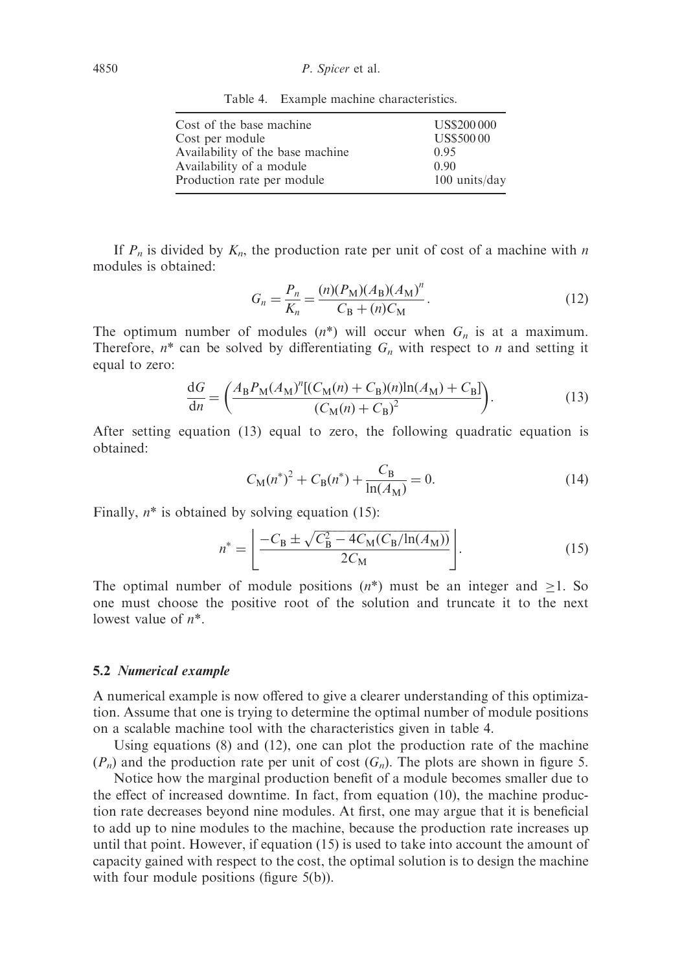Table 4. Example machine characteristics.

| US\$200 000      |
|------------------|
| <b>US\$50000</b> |
|                  |
|                  |
| $100$ units/day  |
|                  |

If  $P_n$  is divided by  $K_n$ , the production rate per unit of cost of a machine with n modules is obtained:

$$
G_n = \frac{P_n}{K_n} = \frac{(n)(P_M)(A_B)(A_M)^n}{C_B + (n)C_M}.
$$
\n(12)

The optimum number of modules  $(n^*)$  will occur when  $G_n$  is at a maximum. Therefore,  $n^*$  can be solved by differentiating  $G_n$  with respect to n and setting it equal to zero:

$$
\frac{dG}{dn} = \left(\frac{A_B P_M (A_M)^n [(C_M(n) + C_B)(n) \ln(A_M) + C_B]}{(C_M(n) + C_B)^2}\right).
$$
\n(13)

After setting equation (13) equal to zero, the following quadratic equation is obtained:

$$
C_M(n^*)^2 + C_B(n^*) + \frac{C_B}{\ln(A_M)} = 0.
$$
\n(14)

Finally,  $n^*$  is obtained by solving equation (15):

$$
n^* = \left[ \frac{-C_B \pm \sqrt{C_B^2 - 4C_M(C_B/\ln(A_M))}}{2C_M} \right].
$$
 (15)

The optimal number of module positions  $(n^*)$  must be an integer and  $\geq 1$ . So one must choose the positive root of the solution and truncate it to the next lowest value of  $n^*$ .

#### 5.2 Numerical example

A numerical example is now offered to give a clearer understanding of this optimization. Assume that one is trying to determine the optimal number of module positions on a scalable machine tool with the characteristics given in table 4.

Using equations (8) and (12), one can plot the production rate of the machine  $(P_n)$  and the production rate per unit of cost  $(G_n)$ . The plots are shown in figure 5.

Notice how the marginal production benefit of a module becomes smaller due to the effect of increased downtime. In fact, from equation (10), the machine production rate decreases beyond nine modules. At first, one may argue that it is beneficial to add up to nine modules to the machine, because the production rate increases up until that point. However, if equation (15) is used to take into account the amount of capacity gained with respect to the cost, the optimal solution is to design the machine with four module positions (figure 5(b)).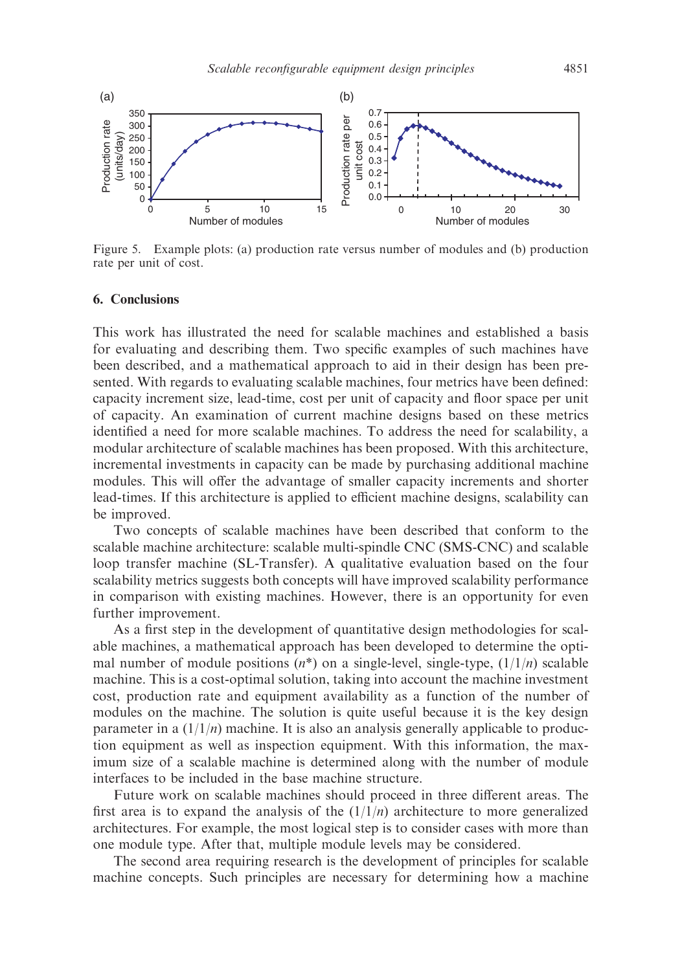

Figure 5. Example plots: (a) production rate versus number of modules and (b) production rate per unit of cost.

## 6. Conclusions

This work has illustrated the need for scalable machines and established a basis for evaluating and describing them. Two specific examples of such machines have been described, and a mathematical approach to aid in their design has been presented. With regards to evaluating scalable machines, four metrics have been defined: capacity increment size, lead-time, cost per unit of capacity and floor space per unit of capacity. An examination of current machine designs based on these metrics identified a need for more scalable machines. To address the need for scalability, a modular architecture of scalable machines has been proposed. With this architecture, incremental investments in capacity can be made by purchasing additional machine modules. This will offer the advantage of smaller capacity increments and shorter lead-times. If this architecture is applied to efficient machine designs, scalability can be improved.

Two concepts of scalable machines have been described that conform to the scalable machine architecture: scalable multi-spindle CNC (SMS-CNC) and scalable loop transfer machine (SL-Transfer). A qualitative evaluation based on the four scalability metrics suggests both concepts will have improved scalability performance in comparison with existing machines. However, there is an opportunity for even further improvement.

As a first step in the development of quantitative design methodologies for scalable machines, a mathematical approach has been developed to determine the optimal number of module positions  $(n^*)$  on a single-level, single-type,  $(1/1/n)$  scalable machine. This is a cost-optimal solution, taking into account the machine investment cost, production rate and equipment availability as a function of the number of modules on the machine. The solution is quite useful because it is the key design parameter in a  $(1/1/n)$  machine. It is also an analysis generally applicable to production equipment as well as inspection equipment. With this information, the maximum size of a scalable machine is determined along with the number of module interfaces to be included in the base machine structure.

Future work on scalable machines should proceed in three different areas. The first area is to expand the analysis of the  $(1/1/n)$  architecture to more generalized architectures. For example, the most logical step is to consider cases with more than one module type. After that, multiple module levels may be considered.

The second area requiring research is the development of principles for scalable machine concepts. Such principles are necessary for determining how a machine